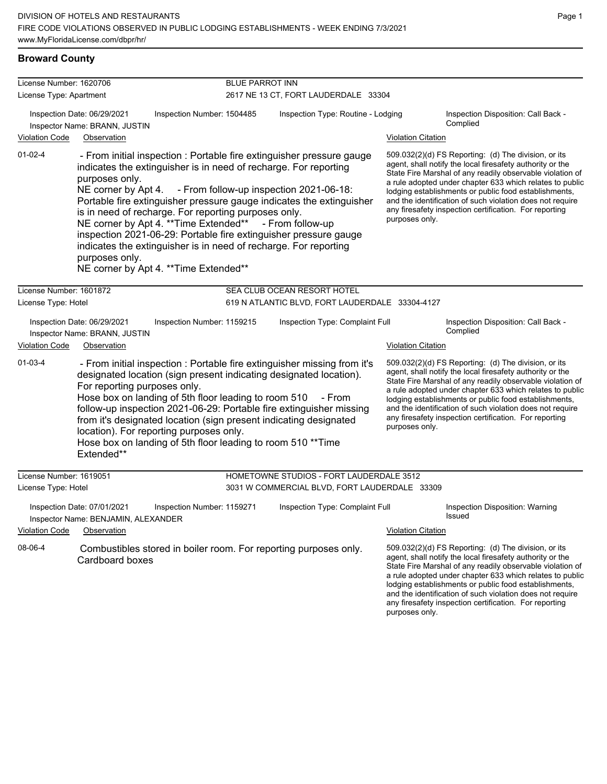# **Broward County**

| License Number: 1620706                        |                                                                             |                                                                                                                                                                                                                                                                                                                                                                                                                                                                      | <b>BLUE PARROT INN</b>                                                                                                                                                                                                                                                                                                                                                                                                                                                                                                                                                                                                                                                                                                                               |  |                                                                                                                                                                                                                                                                                                                                                                                                                                              |  |  |  |
|------------------------------------------------|-----------------------------------------------------------------------------|----------------------------------------------------------------------------------------------------------------------------------------------------------------------------------------------------------------------------------------------------------------------------------------------------------------------------------------------------------------------------------------------------------------------------------------------------------------------|------------------------------------------------------------------------------------------------------------------------------------------------------------------------------------------------------------------------------------------------------------------------------------------------------------------------------------------------------------------------------------------------------------------------------------------------------------------------------------------------------------------------------------------------------------------------------------------------------------------------------------------------------------------------------------------------------------------------------------------------------|--|----------------------------------------------------------------------------------------------------------------------------------------------------------------------------------------------------------------------------------------------------------------------------------------------------------------------------------------------------------------------------------------------------------------------------------------------|--|--|--|
| License Type: Apartment                        |                                                                             |                                                                                                                                                                                                                                                                                                                                                                                                                                                                      | 2617 NE 13 CT, FORT LAUDERDALE 33304                                                                                                                                                                                                                                                                                                                                                                                                                                                                                                                                                                                                                                                                                                                 |  |                                                                                                                                                                                                                                                                                                                                                                                                                                              |  |  |  |
|                                                | Inspection Date: 06/29/2021<br>Inspector Name: BRANN, JUSTIN                | Inspection Number: 1504485                                                                                                                                                                                                                                                                                                                                                                                                                                           | Inspection Type: Routine - Lodging                                                                                                                                                                                                                                                                                                                                                                                                                                                                                                                                                                                                                                                                                                                   |  | Inspection Disposition: Call Back -<br>Complied                                                                                                                                                                                                                                                                                                                                                                                              |  |  |  |
| <b>Violation Code</b>                          | Observation                                                                 |                                                                                                                                                                                                                                                                                                                                                                                                                                                                      |                                                                                                                                                                                                                                                                                                                                                                                                                                                                                                                                                                                                                                                                                                                                                      |  | <b>Violation Citation</b>                                                                                                                                                                                                                                                                                                                                                                                                                    |  |  |  |
| $01-02-4$                                      | purposes only.<br>purposes only.                                            | indicates the extinguisher is in need of recharge. For reporting<br>is in need of recharge. For reporting purposes only.<br>NE corner by Apt 4. ** Time Extended**<br>indicates the extinguisher is in need of recharge. For reporting<br>NE corner by Apt 4. ** Time Extended**                                                                                                                                                                                     | 509.032(2)(d) FS Reporting: (d) The division, or its<br>- From initial inspection : Portable fire extinguisher pressure gauge<br>agent, shall notify the local firesafety authority or the<br>State Fire Marshal of any readily observable violation of<br>a rule adopted under chapter 633 which relates to public<br>NE corner by Apt 4. - From follow-up inspection 2021-06-18:<br>lodging establishments or public food establishments,<br>Portable fire extinguisher pressure gauge indicates the extinguisher<br>and the identification of such violation does not require<br>any firesafety inspection certification. For reporting<br>purposes only.<br>- From follow-up<br>inspection 2021-06-29: Portable fire extinguisher pressure gauge |  |                                                                                                                                                                                                                                                                                                                                                                                                                                              |  |  |  |
| License Number: 1601872                        |                                                                             |                                                                                                                                                                                                                                                                                                                                                                                                                                                                      | SEA CLUB OCEAN RESORT HOTEL                                                                                                                                                                                                                                                                                                                                                                                                                                                                                                                                                                                                                                                                                                                          |  |                                                                                                                                                                                                                                                                                                                                                                                                                                              |  |  |  |
| License Type: Hotel                            |                                                                             |                                                                                                                                                                                                                                                                                                                                                                                                                                                                      | 619 N ATLANTIC BLVD, FORT LAUDERDALE 33304-4127                                                                                                                                                                                                                                                                                                                                                                                                                                                                                                                                                                                                                                                                                                      |  |                                                                                                                                                                                                                                                                                                                                                                                                                                              |  |  |  |
| <b>Violation Code</b>                          | Inspection Date: 06/29/2021<br>Inspector Name: BRANN, JUSTIN<br>Observation | Inspection Number: 1159215                                                                                                                                                                                                                                                                                                                                                                                                                                           | Inspection Type: Complaint Full                                                                                                                                                                                                                                                                                                                                                                                                                                                                                                                                                                                                                                                                                                                      |  | Inspection Disposition: Call Back -<br>Complied<br><b>Violation Citation</b>                                                                                                                                                                                                                                                                                                                                                                 |  |  |  |
| $01-03-4$                                      | For reporting purposes only.<br>Extended**                                  | - From initial inspection : Portable fire extinguisher missing from it's<br>designated location (sign present indicating designated location).<br>Hose box on landing of 5th floor leading to room 510 - From<br>follow-up inspection 2021-06-29: Portable fire extinguisher missing<br>from it's designated location (sign present indicating designated<br>location). For reporting purposes only.<br>Hose box on landing of 5th floor leading to room 510 ** Time |                                                                                                                                                                                                                                                                                                                                                                                                                                                                                                                                                                                                                                                                                                                                                      |  | 509.032(2)(d) FS Reporting: (d) The division, or its<br>agent, shall notify the local firesafety authority or the<br>State Fire Marshal of any readily observable violation of<br>a rule adopted under chapter 633 which relates to public<br>lodging establishments or public food establishments,<br>and the identification of such violation does not require<br>any firesafety inspection certification. For reporting<br>purposes only. |  |  |  |
| License Number: 1619051<br>License Type: Hotel |                                                                             |                                                                                                                                                                                                                                                                                                                                                                                                                                                                      | HOMETOWNE STUDIOS - FORT LAUDERDALE 3512<br>3031 W COMMERCIAL BLVD, FORT LAUDERDALE 33309                                                                                                                                                                                                                                                                                                                                                                                                                                                                                                                                                                                                                                                            |  |                                                                                                                                                                                                                                                                                                                                                                                                                                              |  |  |  |
|                                                | Inspection Date: 07/01/2021<br>Inspector Name: BENJAMIN, ALEXANDER          | Inspection Number: 1159271                                                                                                                                                                                                                                                                                                                                                                                                                                           | Inspection Type: Complaint Full                                                                                                                                                                                                                                                                                                                                                                                                                                                                                                                                                                                                                                                                                                                      |  | Inspection Disposition: Warning<br>Issued                                                                                                                                                                                                                                                                                                                                                                                                    |  |  |  |
| <b>Violation Code</b>                          | Observation                                                                 |                                                                                                                                                                                                                                                                                                                                                                                                                                                                      |                                                                                                                                                                                                                                                                                                                                                                                                                                                                                                                                                                                                                                                                                                                                                      |  | <b>Violation Citation</b>                                                                                                                                                                                                                                                                                                                                                                                                                    |  |  |  |
| 08-06-4                                        | Cardboard boxes                                                             | Combustibles stored in boiler room. For reporting purposes only.                                                                                                                                                                                                                                                                                                                                                                                                     |                                                                                                                                                                                                                                                                                                                                                                                                                                                                                                                                                                                                                                                                                                                                                      |  | 509.032(2)(d) FS Reporting: (d) The division, or its<br>agent, shall notify the local firesafety authority or the<br>State Fire Marshal of any readily observable violation of<br>a rule adopted under chapter 633 which relates to public<br>lodging establishments or public food establishments,<br>and the identification of such violation does not require<br>any firesafety inspection certification. For reporting                   |  |  |  |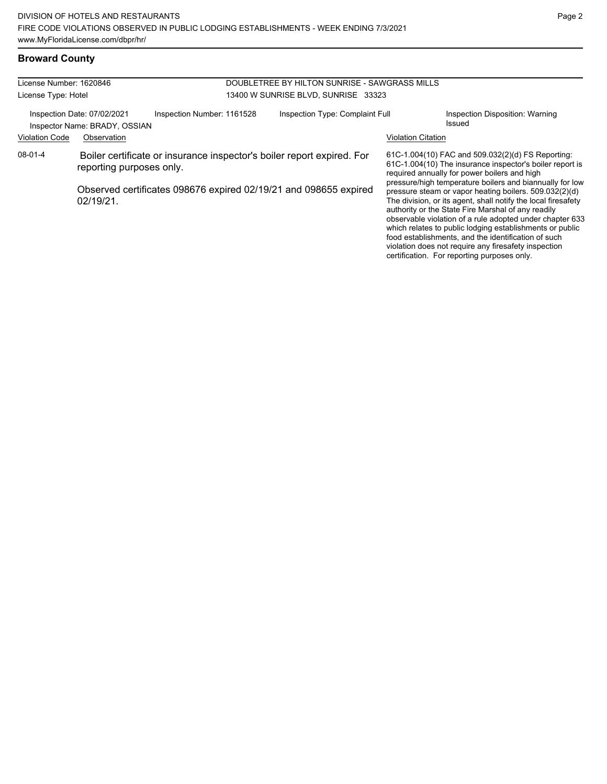### **Broward County**

| License Number: 1620846                                                                    |                          |  |                                                                  | DOUBLETREE BY HILTON SUNRISE - SAWGRASS MILLS                          |                                                                                                                                                                                                                                                                                                                                                                                                                                                                                  |  |  |
|--------------------------------------------------------------------------------------------|--------------------------|--|------------------------------------------------------------------|------------------------------------------------------------------------|----------------------------------------------------------------------------------------------------------------------------------------------------------------------------------------------------------------------------------------------------------------------------------------------------------------------------------------------------------------------------------------------------------------------------------------------------------------------------------|--|--|
| License Type: Hotel                                                                        |                          |  | 13400 W SUNRISE BLVD, SUNRISE 33323                              |                                                                        |                                                                                                                                                                                                                                                                                                                                                                                                                                                                                  |  |  |
| Inspection Number: 1161528<br>Inspection Date: 07/02/2021<br>Inspector Name: BRADY, OSSIAN |                          |  | Inspection Type: Complaint Full                                  |                                                                        | Inspection Disposition: Warning<br>Issued                                                                                                                                                                                                                                                                                                                                                                                                                                        |  |  |
| <b>Violation Code</b>                                                                      | Observation              |  |                                                                  |                                                                        | <b>Violation Citation</b>                                                                                                                                                                                                                                                                                                                                                                                                                                                        |  |  |
| 08-01-4                                                                                    | reporting purposes only. |  |                                                                  | Boiler certificate or insurance inspector's boiler report expired. For | 61C-1.004(10) FAC and 509.032(2)(d) FS Reporting:<br>61C-1.004(10) The insurance inspector's boiler report is<br>required annually for power boilers and high                                                                                                                                                                                                                                                                                                                    |  |  |
| 02/19/21.                                                                                  |                          |  | Observed certificates 098676 expired 02/19/21 and 098655 expired |                                                                        | pressure/high temperature boilers and biannually for low<br>pressure steam or vapor heating boilers. 509.032(2)(d)<br>The division, or its agent, shall notify the local firesafety<br>authority or the State Fire Marshal of any readily<br>observable violation of a rule adopted under chapter 633<br>which relates to public lodging establishments or public<br>food establishments, and the identification of such<br>violation does not require any firesafety inspection |  |  |

certification. For reporting purposes only.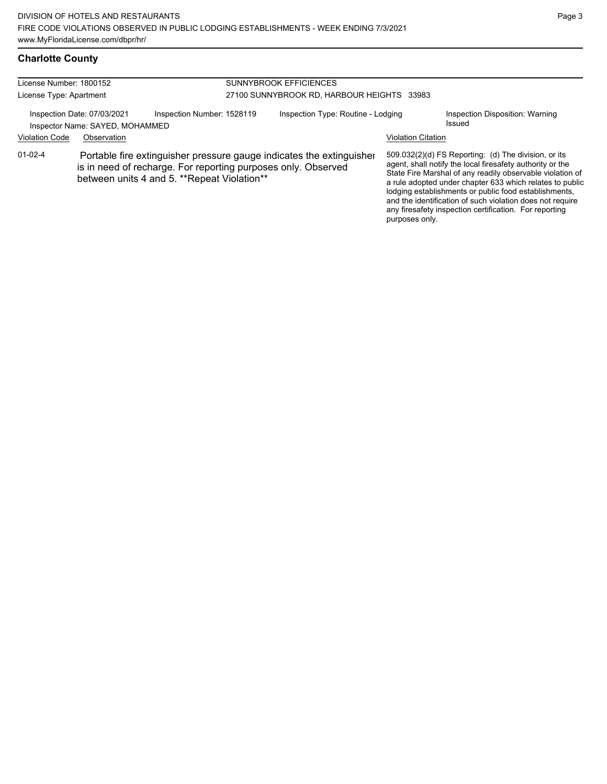# **Charlotte County**

| License Number: 1800152<br>License Type: Apartment                                                     |                                                                                                                                                                                      |                            | <b>SUNNYBROOK EFFICIENCES</b><br>27100 SUNNYBROOK RD, HARBOUR HEIGHTS 33983 |                |                                                                                                                                                                                                                                                                                                                                                                                                                            |  |
|--------------------------------------------------------------------------------------------------------|--------------------------------------------------------------------------------------------------------------------------------------------------------------------------------------|----------------------------|-----------------------------------------------------------------------------|----------------|----------------------------------------------------------------------------------------------------------------------------------------------------------------------------------------------------------------------------------------------------------------------------------------------------------------------------------------------------------------------------------------------------------------------------|--|
| Inspection Date: 07/03/2021<br>Inspector Name: SAYED, MOHAMMED<br><b>Violation Code</b><br>Observation |                                                                                                                                                                                      | Inspection Number: 1528119 | Inspection Type: Routine - Lodging<br><b>Violation Citation</b>             |                | Inspection Disposition: Warning<br>Issued                                                                                                                                                                                                                                                                                                                                                                                  |  |
| $01 - 02 - 4$                                                                                          | Portable fire extinguisher pressure gauge indicates the extinguisher<br>is in need of recharge. For reporting purposes only. Observed<br>between units 4 and 5. **Repeat Violation** |                            |                                                                             | purposes only. | 509.032(2)(d) FS Reporting: (d) The division, or its<br>agent, shall notify the local firesafety authority or the<br>State Fire Marshal of any readily observable violation of<br>a rule adopted under chapter 633 which relates to public<br>lodging establishments or public food establishments,<br>and the identification of such violation does not require<br>any firesafety inspection certification. For reporting |  |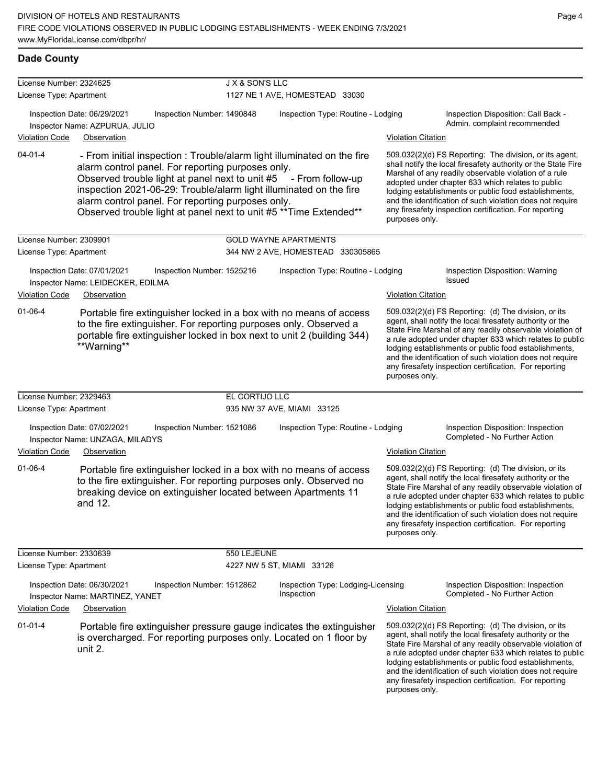| License Number: 2324625 |                                                                                 | J X & SON'S LLC                                                                                                                                                                                                                                                                                                                                                                                   |                                                  |                           |                                                                                                                                                                                                                                                                                                                                                                                                                            |
|-------------------------|---------------------------------------------------------------------------------|---------------------------------------------------------------------------------------------------------------------------------------------------------------------------------------------------------------------------------------------------------------------------------------------------------------------------------------------------------------------------------------------------|--------------------------------------------------|---------------------------|----------------------------------------------------------------------------------------------------------------------------------------------------------------------------------------------------------------------------------------------------------------------------------------------------------------------------------------------------------------------------------------------------------------------------|
| License Type: Apartment |                                                                                 |                                                                                                                                                                                                                                                                                                                                                                                                   | 1127 NE 1 AVE, HOMESTEAD 33030                   |                           |                                                                                                                                                                                                                                                                                                                                                                                                                            |
|                         | Inspection Date: 06/29/2021<br>Inspector Name: AZPURUA, JULIO                   | Inspection Number: 1490848                                                                                                                                                                                                                                                                                                                                                                        | Inspection Type: Routine - Lodging               |                           | Inspection Disposition: Call Back -<br>Admin. complaint recommended                                                                                                                                                                                                                                                                                                                                                        |
| <b>Violation Code</b>   | Observation                                                                     |                                                                                                                                                                                                                                                                                                                                                                                                   |                                                  | <b>Violation Citation</b> |                                                                                                                                                                                                                                                                                                                                                                                                                            |
| $04 - 01 - 4$           |                                                                                 | - From initial inspection : Trouble/alarm light illuminated on the fire<br>alarm control panel. For reporting purposes only.<br>Observed trouble light at panel next to unit #5 - From follow-up<br>inspection 2021-06-29: Trouble/alarm light illuminated on the fire<br>alarm control panel. For reporting purposes only.<br>Observed trouble light at panel next to unit #5 ** Time Extended** |                                                  | purposes only.            | 509.032(2)(d) FS Reporting: The division, or its agent,<br>shall notify the local firesafety authority or the State Fire<br>Marshal of any readily observable violation of a rule<br>adopted under chapter 633 which relates to public<br>lodging establishments or public food establishments,<br>and the identification of such violation does not require<br>any firesafety inspection certification. For reporting     |
| License Number: 2309901 |                                                                                 |                                                                                                                                                                                                                                                                                                                                                                                                   | <b>GOLD WAYNE APARTMENTS</b>                     |                           |                                                                                                                                                                                                                                                                                                                                                                                                                            |
| License Type: Apartment |                                                                                 |                                                                                                                                                                                                                                                                                                                                                                                                   | 344 NW 2 AVE, HOMESTEAD 330305865                |                           |                                                                                                                                                                                                                                                                                                                                                                                                                            |
| <b>Violation Code</b>   | Inspection Date: 07/01/2021<br>Inspector Name: LEIDECKER, EDILMA<br>Observation | Inspection Number: 1525216                                                                                                                                                                                                                                                                                                                                                                        | Inspection Type: Routine - Lodging               | <b>Violation Citation</b> | Inspection Disposition: Warning<br><b>Issued</b>                                                                                                                                                                                                                                                                                                                                                                           |
| $01 - 06 - 4$           | **Warning**                                                                     | Portable fire extinguisher locked in a box with no means of access<br>to the fire extinguisher. For reporting purposes only. Observed a<br>portable fire extinguisher locked in box next to unit 2 (building 344)                                                                                                                                                                                 |                                                  | purposes only.            | 509.032(2)(d) FS Reporting: (d) The division, or its<br>agent, shall notify the local firesafety authority or the<br>State Fire Marshal of any readily observable violation of<br>a rule adopted under chapter 633 which relates to public<br>lodging establishments or public food establishments,<br>and the identification of such violation does not require<br>any firesafety inspection certification. For reporting |
| License Number: 2329463 |                                                                                 | EL CORTIJO LLC                                                                                                                                                                                                                                                                                                                                                                                    |                                                  |                           |                                                                                                                                                                                                                                                                                                                                                                                                                            |
| License Type: Apartment |                                                                                 |                                                                                                                                                                                                                                                                                                                                                                                                   | 935 NW 37 AVE, MIAMI 33125                       |                           |                                                                                                                                                                                                                                                                                                                                                                                                                            |
|                         | Inspection Date: 07/02/2021<br>Inspector Name: UNZAGA, MILADYS                  | Inspection Number: 1521086                                                                                                                                                                                                                                                                                                                                                                        | Inspection Type: Routine - Lodging               |                           | Inspection Disposition: Inspection<br>Completed - No Further Action                                                                                                                                                                                                                                                                                                                                                        |
| Violation Code          | Observation                                                                     |                                                                                                                                                                                                                                                                                                                                                                                                   |                                                  | <b>Violation Citation</b> |                                                                                                                                                                                                                                                                                                                                                                                                                            |
| $01 - 06 - 4$           | and 12.                                                                         | Portable fire extinguisher locked in a box with no means of access<br>to the fire extinguisher. For reporting purposes only. Observed no<br>breaking device on extinguisher located between Apartments 11                                                                                                                                                                                         |                                                  | purposes only.            | 509.032(2)(d) FS Reporting: (d) The division, or its<br>agent, shall notify the local firesafety authority or the<br>State Fire Marshal of any readily observable violation of<br>a rule adopted under chapter 633 which relates to public<br>lodging establishments or public food establishments,<br>and the identification of such violation does not require<br>any firesafety inspection certification. For reporting |
| License Number: 2330639 |                                                                                 | 550 LEJEUNE                                                                                                                                                                                                                                                                                                                                                                                       |                                                  |                           |                                                                                                                                                                                                                                                                                                                                                                                                                            |
| License Type: Apartment |                                                                                 |                                                                                                                                                                                                                                                                                                                                                                                                   | 4227 NW 5 ST, MIAMI 33126                        |                           |                                                                                                                                                                                                                                                                                                                                                                                                                            |
|                         | Inspection Date: 06/30/2021<br>Inspector Name: MARTINEZ, YANET                  | Inspection Number: 1512862                                                                                                                                                                                                                                                                                                                                                                        | Inspection Type: Lodging-Licensing<br>Inspection |                           | Inspection Disposition: Inspection<br>Completed - No Further Action                                                                                                                                                                                                                                                                                                                                                        |
| <b>Violation Code</b>   | Observation                                                                     |                                                                                                                                                                                                                                                                                                                                                                                                   |                                                  | <b>Violation Citation</b> |                                                                                                                                                                                                                                                                                                                                                                                                                            |
| $01 - 01 - 4$           | unit 2.                                                                         | Portable fire extinguisher pressure gauge indicates the extinguisher<br>is overcharged. For reporting purposes only. Located on 1 floor by                                                                                                                                                                                                                                                        |                                                  | purposes only.            | 509.032(2)(d) FS Reporting: (d) The division, or its<br>agent, shall notify the local firesafety authority or the<br>State Fire Marshal of any readily observable violation of<br>a rule adopted under chapter 633 which relates to public<br>lodging establishments or public food establishments,<br>and the identification of such violation does not require<br>any firesafety inspection certification. For reporting |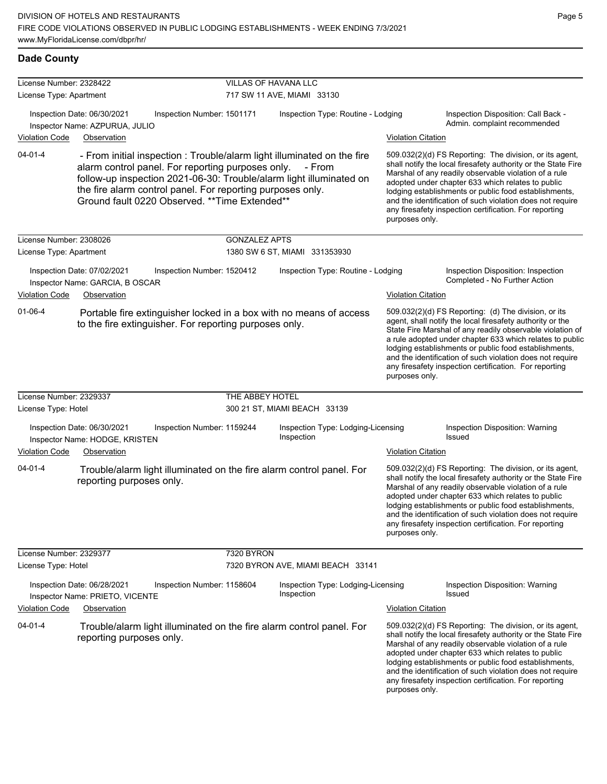| License Number: 2328422 |                                                                                                                                                                   |                            | VILLAS OF HAVANA LLC       |                                                                                                                                                          |                           |                                                                                                                                                                                                                                                                                                                                                                                                                            |  |  |
|-------------------------|-------------------------------------------------------------------------------------------------------------------------------------------------------------------|----------------------------|----------------------------|----------------------------------------------------------------------------------------------------------------------------------------------------------|---------------------------|----------------------------------------------------------------------------------------------------------------------------------------------------------------------------------------------------------------------------------------------------------------------------------------------------------------------------------------------------------------------------------------------------------------------------|--|--|
| License Type: Apartment |                                                                                                                                                                   |                            | 717 SW 11 AVE, MIAMI 33130 |                                                                                                                                                          |                           |                                                                                                                                                                                                                                                                                                                                                                                                                            |  |  |
| <b>Violation Code</b>   | Inspection Date: 06/30/2021<br>Inspector Name: AZPURUA, JULIO<br>Observation                                                                                      | Inspection Number: 1501171 |                            | Inspection Type: Routine - Lodging                                                                                                                       | <b>Violation Citation</b> | Inspection Disposition: Call Back -<br>Admin. complaint recommended                                                                                                                                                                                                                                                                                                                                                        |  |  |
| $04 - 01 - 4$           | alarm control panel. For reporting purposes only.<br>the fire alarm control panel. For reporting purposes only.<br>Ground fault 0220 Observed. ** Time Extended** |                            |                            | - From initial inspection : Trouble/alarm light illuminated on the fire<br>- From<br>follow-up inspection 2021-06-30: Trouble/alarm light illuminated on | purposes only.            | 509.032(2)(d) FS Reporting: The division, or its agent,<br>shall notify the local firesafety authority or the State Fire<br>Marshal of any readily observable violation of a rule<br>adopted under chapter 633 which relates to public<br>lodging establishments or public food establishments,<br>and the identification of such violation does not require<br>any firesafety inspection certification. For reporting     |  |  |
| License Number: 2308026 |                                                                                                                                                                   |                            | <b>GONZALEZ APTS</b>       |                                                                                                                                                          |                           |                                                                                                                                                                                                                                                                                                                                                                                                                            |  |  |
| License Type: Apartment |                                                                                                                                                                   |                            |                            | 1380 SW 6 ST, MIAMI 331353930                                                                                                                            |                           |                                                                                                                                                                                                                                                                                                                                                                                                                            |  |  |
| <b>Violation Code</b>   | Inspection Date: 07/02/2021<br>Inspector Name: GARCIA, B OSCAR<br>Observation                                                                                     | Inspection Number: 1520412 |                            | Inspection Type: Routine - Lodging                                                                                                                       | <b>Violation Citation</b> | Inspection Disposition: Inspection<br>Completed - No Further Action                                                                                                                                                                                                                                                                                                                                                        |  |  |
| $01 - 06 - 4$           | to the fire extinguisher. For reporting purposes only.                                                                                                            |                            |                            | Portable fire extinguisher locked in a box with no means of access                                                                                       | purposes only.            | 509.032(2)(d) FS Reporting: (d) The division, or its<br>agent, shall notify the local firesafety authority or the<br>State Fire Marshal of any readily observable violation of<br>a rule adopted under chapter 633 which relates to public<br>lodging establishments or public food establishments,<br>and the identification of such violation does not require<br>any firesafety inspection certification. For reporting |  |  |
| License Number: 2329337 |                                                                                                                                                                   |                            | THE ABBEY HOTEL            |                                                                                                                                                          |                           |                                                                                                                                                                                                                                                                                                                                                                                                                            |  |  |
| License Type: Hotel     |                                                                                                                                                                   |                            |                            | 300 21 ST, MIAMI BEACH 33139                                                                                                                             |                           |                                                                                                                                                                                                                                                                                                                                                                                                                            |  |  |
|                         | Inspection Date: 06/30/2021<br>Inspector Name: HODGE, KRISTEN                                                                                                     | Inspection Number: 1159244 |                            | Inspection Type: Lodging-Licensing<br>Inspection                                                                                                         |                           | Inspection Disposition: Warning<br>Issued                                                                                                                                                                                                                                                                                                                                                                                  |  |  |
| <b>Violation Code</b>   | Observation                                                                                                                                                       |                            |                            |                                                                                                                                                          | <b>Violation Citation</b> |                                                                                                                                                                                                                                                                                                                                                                                                                            |  |  |
| $04 - 01 - 4$           | reporting purposes only.                                                                                                                                          |                            |                            | Trouble/alarm light illuminated on the fire alarm control panel. For                                                                                     | purposes only.            | 509.032(2)(d) FS Reporting: The division, or its agent,<br>shall notify the local firesafety authority or the State Fire<br>Marshal of any readily observable violation of a rule<br>adopted under chapter 633 which relates to public<br>lodging establishments or public food establishments,<br>and the identification of such violation does not require<br>any firesafety inspection certification. For reporting     |  |  |
| License Number: 2329377 |                                                                                                                                                                   |                            | 7320 BYRON                 |                                                                                                                                                          |                           |                                                                                                                                                                                                                                                                                                                                                                                                                            |  |  |
| License Type: Hotel     |                                                                                                                                                                   |                            |                            | 7320 BYRON AVE, MIAMI BEACH 33141                                                                                                                        |                           |                                                                                                                                                                                                                                                                                                                                                                                                                            |  |  |
|                         | Inspection Date: 06/28/2021<br>Inspector Name: PRIETO, VICENTE                                                                                                    | Inspection Number: 1158604 |                            | Inspection Type: Lodging-Licensing<br>Inspection                                                                                                         |                           | Inspection Disposition: Warning<br>Issued                                                                                                                                                                                                                                                                                                                                                                                  |  |  |
| <b>Violation Code</b>   | Observation                                                                                                                                                       |                            |                            |                                                                                                                                                          | <b>Violation Citation</b> |                                                                                                                                                                                                                                                                                                                                                                                                                            |  |  |
| $04 - 01 - 4$           | reporting purposes only.                                                                                                                                          |                            |                            | Trouble/alarm light illuminated on the fire alarm control panel. For                                                                                     | purposes only.            | 509.032(2)(d) FS Reporting: The division, or its agent,<br>shall notify the local firesafety authority or the State Fire<br>Marshal of any readily observable violation of a rule<br>adopted under chapter 633 which relates to public<br>lodging establishments or public food establishments,<br>and the identification of such violation does not require<br>any firesafety inspection certification. For reporting     |  |  |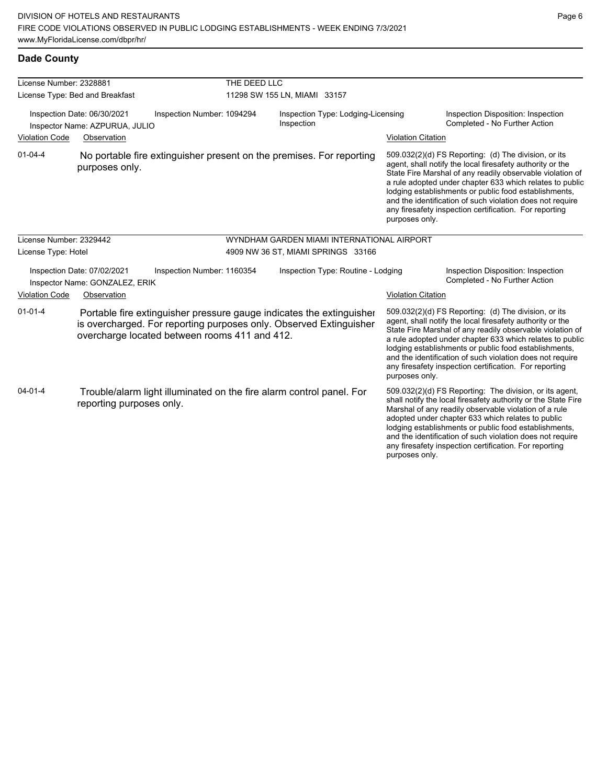**Dade County**

lodging establishments or public food establishments, and the identification of such violation does not require any firesafety inspection certification. For reporting

| License Number: 2328881                                                                     |                                                                                                                                                                                             | THE DEED LLC |                                                  |                           |                                                                                                                                                                                                                                                                                                                                                                                                                            |  |  |
|---------------------------------------------------------------------------------------------|---------------------------------------------------------------------------------------------------------------------------------------------------------------------------------------------|--------------|--------------------------------------------------|---------------------------|----------------------------------------------------------------------------------------------------------------------------------------------------------------------------------------------------------------------------------------------------------------------------------------------------------------------------------------------------------------------------------------------------------------------------|--|--|
|                                                                                             | License Type: Bed and Breakfast                                                                                                                                                             |              | 11298 SW 155 LN, MIAMI 33157                     |                           |                                                                                                                                                                                                                                                                                                                                                                                                                            |  |  |
| Inspection Date: 06/30/2021<br>Inspection Number: 1094294<br>Inspector Name: AZPURUA, JULIO |                                                                                                                                                                                             |              | Inspection Type: Lodging-Licensing<br>Inspection |                           | Inspection Disposition: Inspection<br>Completed - No Further Action                                                                                                                                                                                                                                                                                                                                                        |  |  |
| Violation Code                                                                              | Observation                                                                                                                                                                                 |              |                                                  | <b>Violation Citation</b> |                                                                                                                                                                                                                                                                                                                                                                                                                            |  |  |
| $01 - 04 - 4$                                                                               | No portable fire extinguisher present on the premises. For reporting<br>purposes only.                                                                                                      |              |                                                  | purposes only.            | 509.032(2)(d) FS Reporting: (d) The division, or its<br>agent, shall notify the local firesafety authority or the<br>State Fire Marshal of any readily observable violation of<br>a rule adopted under chapter 633 which relates to public<br>lodging establishments or public food establishments,<br>and the identification of such violation does not require<br>any firesafety inspection certification. For reporting |  |  |
| License Number: 2329442                                                                     |                                                                                                                                                                                             |              | WYNDHAM GARDEN MIAMI INTERNATIONAL AIRPORT       |                           |                                                                                                                                                                                                                                                                                                                                                                                                                            |  |  |
| License Type: Hotel                                                                         |                                                                                                                                                                                             |              | 4909 NW 36 ST, MIAMI SPRINGS 33166               |                           |                                                                                                                                                                                                                                                                                                                                                                                                                            |  |  |
|                                                                                             | Inspection Date: 07/02/2021<br>Inspection Number: 1160354<br>Inspector Name: GONZALEZ, ERIK                                                                                                 |              | Inspection Type: Routine - Lodging               |                           | Inspection Disposition: Inspection<br>Completed - No Further Action                                                                                                                                                                                                                                                                                                                                                        |  |  |
| <b>Violation Code</b>                                                                       | Observation                                                                                                                                                                                 |              |                                                  | <b>Violation Citation</b> |                                                                                                                                                                                                                                                                                                                                                                                                                            |  |  |
| $01 - 01 - 4$                                                                               | Portable fire extinguisher pressure gauge indicates the extinguisher<br>is overcharged. For reporting purposes only. Observed Extinguisher<br>overcharge located between rooms 411 and 412. |              |                                                  | purposes only.            | 509.032(2)(d) FS Reporting: (d) The division, or its<br>agent, shall notify the local firesafety authority or the<br>State Fire Marshal of any readily observable violation of<br>a rule adopted under chapter 633 which relates to public<br>lodging establishments or public food establishments,<br>and the identification of such violation does not require<br>any firesafety inspection certification. For reporting |  |  |
| $04 - 01 - 4$                                                                               | Trouble/alarm light illuminated on the fire alarm control panel. For<br>reporting purposes only.                                                                                            |              |                                                  |                           | 509.032(2)(d) FS Reporting: The division, or its agent,<br>shall notify the local firesafety authority or the State Fire<br>Marshal of any readily observable violation of a rule<br>adopted under chapter 633 which relates to public                                                                                                                                                                                     |  |  |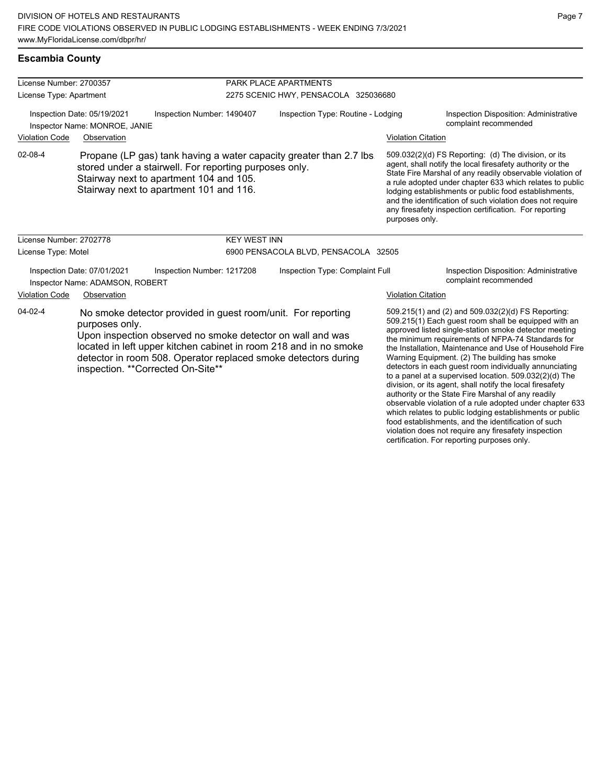### **Escambia County**

| License Number: 2700357                                                                    |                                                                |                                                                                                                                                                                                                                                                                                         | PARK PLACE APARTMENTS |                                                                     |                           |                                                                                                                                                                                                                                                                                                                                                                                                                                                                                                                                                                             |  |
|--------------------------------------------------------------------------------------------|----------------------------------------------------------------|---------------------------------------------------------------------------------------------------------------------------------------------------------------------------------------------------------------------------------------------------------------------------------------------------------|-----------------------|---------------------------------------------------------------------|---------------------------|-----------------------------------------------------------------------------------------------------------------------------------------------------------------------------------------------------------------------------------------------------------------------------------------------------------------------------------------------------------------------------------------------------------------------------------------------------------------------------------------------------------------------------------------------------------------------------|--|
| License Type: Apartment                                                                    |                                                                |                                                                                                                                                                                                                                                                                                         |                       | 2275 SCENIC HWY, PENSACOLA 325036680                                |                           |                                                                                                                                                                                                                                                                                                                                                                                                                                                                                                                                                                             |  |
| Inspection Date: 05/19/2021<br>Inspection Number: 1490407<br>Inspector Name: MONROE, JANIE |                                                                |                                                                                                                                                                                                                                                                                                         |                       | Inspection Type: Routine - Lodging                                  |                           | <b>Inspection Disposition: Administrative</b><br>complaint recommended                                                                                                                                                                                                                                                                                                                                                                                                                                                                                                      |  |
| <b>Violation Code</b>                                                                      | Observation                                                    |                                                                                                                                                                                                                                                                                                         |                       |                                                                     | <b>Violation Citation</b> |                                                                                                                                                                                                                                                                                                                                                                                                                                                                                                                                                                             |  |
| 02-08-4                                                                                    |                                                                | stored under a stairwell. For reporting purposes only.<br>Stairway next to apartment 104 and 105.<br>Stairway next to apartment 101 and 116.                                                                                                                                                            |                       | Propane (LP gas) tank having a water capacity greater than 2.7 lbs. | purposes only.            | 509.032(2)(d) FS Reporting: (d) The division, or its<br>agent, shall notify the local firesafety authority or the<br>State Fire Marshal of any readily observable violation of<br>a rule adopted under chapter 633 which relates to public<br>lodging establishments or public food establishments,<br>and the identification of such violation does not require<br>any firesafety inspection certification. For reporting                                                                                                                                                  |  |
| License Number: 2702778                                                                    |                                                                |                                                                                                                                                                                                                                                                                                         | <b>KEY WEST INN</b>   |                                                                     |                           |                                                                                                                                                                                                                                                                                                                                                                                                                                                                                                                                                                             |  |
| License Type: Motel                                                                        |                                                                |                                                                                                                                                                                                                                                                                                         |                       | 6900 PENSACOLA BLVD, PENSACOLA 32505                                |                           |                                                                                                                                                                                                                                                                                                                                                                                                                                                                                                                                                                             |  |
|                                                                                            | Inspection Date: 07/01/2021<br>Inspector Name: ADAMSON, ROBERT | Inspection Number: 1217208                                                                                                                                                                                                                                                                              |                       | Inspection Type: Complaint Full                                     |                           | <b>Inspection Disposition: Administrative</b><br>complaint recommended                                                                                                                                                                                                                                                                                                                                                                                                                                                                                                      |  |
| <b>Violation Code</b>                                                                      | Observation                                                    |                                                                                                                                                                                                                                                                                                         |                       |                                                                     | <b>Violation Citation</b> |                                                                                                                                                                                                                                                                                                                                                                                                                                                                                                                                                                             |  |
| $04 - 02 - 4$                                                                              | purposes only.                                                 | No smoke detector provided in guest room/unit. For reporting<br>Upon inspection observed no smoke detector on wall and was<br>located in left upper kitchen cabinet in room 218 and in no smoke<br>detector in room 508. Operator replaced smoke detectors during<br>inspection. ** Corrected On-Site** |                       |                                                                     |                           | 509.215(1) and (2) and 509.032(2)(d) FS Reporting:<br>509.215(1) Each guest room shall be equipped with an<br>approved listed single-station smoke detector meeting<br>the minimum requirements of NFPA-74 Standards for<br>the Installation, Maintenance and Use of Household Fire<br>Warning Equipment. (2) The building has smoke<br>detectors in each guest room individually annunciating<br>to a panel at a supervised location. 509.032(2)(d) The<br>division, or its agent, shall notify the local firesafety<br>outbority or the State Fire Marshal of any readily |  |

authority or the State Fire Marshal of any readily observable violation of a rule adopted under chapter 633 which relates to public lodging establishments or public food establishments, and the identification of such violation does not require any firesafety inspection certification. For reporting purposes only.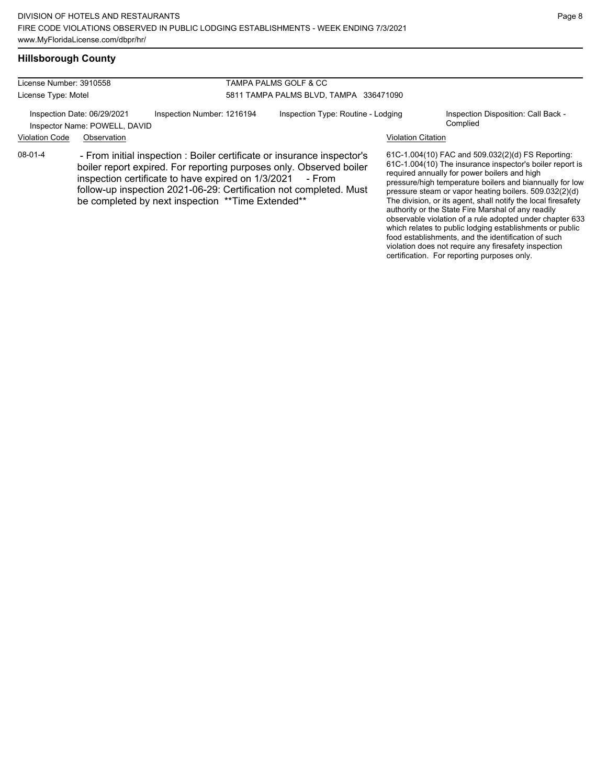authority or the State Fire Marshal of any readily observable violation of a rule adopted under chapter 633 which relates to public lodging establishments or public food establishments, and the identification of such violation does not require any firesafety inspection certification. For reporting purposes only.

### **Hillsborough County**

| License Number: 3910558 |                                                              |                                                                                                                                                                                                                                                                                                                                 | TAMPA PALMS GOLF & CC                  |                           |                                                                                                                                                                                                                                                                                                                                                      |  |  |
|-------------------------|--------------------------------------------------------------|---------------------------------------------------------------------------------------------------------------------------------------------------------------------------------------------------------------------------------------------------------------------------------------------------------------------------------|----------------------------------------|---------------------------|------------------------------------------------------------------------------------------------------------------------------------------------------------------------------------------------------------------------------------------------------------------------------------------------------------------------------------------------------|--|--|
| License Type: Motel     |                                                              |                                                                                                                                                                                                                                                                                                                                 | 5811 TAMPA PALMS BLVD, TAMPA 336471090 |                           |                                                                                                                                                                                                                                                                                                                                                      |  |  |
|                         | Inspection Date: 06/29/2021<br>Inspector Name: POWELL, DAVID | Inspection Number: 1216194                                                                                                                                                                                                                                                                                                      | Inspection Type: Routine - Lodging     |                           | Inspection Disposition: Call Back -<br>Complied                                                                                                                                                                                                                                                                                                      |  |  |
| <b>Violation Code</b>   | Observation                                                  |                                                                                                                                                                                                                                                                                                                                 |                                        | <b>Violation Citation</b> |                                                                                                                                                                                                                                                                                                                                                      |  |  |
| $08-01-4$               |                                                              | - From initial inspection : Boiler certificate or insurance inspector's<br>boiler report expired. For reporting purposes only. Observed boiler<br>inspection certificate to have expired on 1/3/2021<br>follow-up inspection 2021-06-29: Certification not completed. Must<br>be completed by next inspection **Time Extended** | - From                                 |                           | 61C-1.004(10) FAC and 509.032(2)(d) FS Reporting:<br>61C-1.004(10) The insurance inspector's boiler report is<br>required annually for power boilers and high<br>pressure/high temperature boilers and biannually for low<br>pressure steam or vapor heating boilers. 509.032(2)(d)<br>The division, or its agent, shall notify the local firesafety |  |  |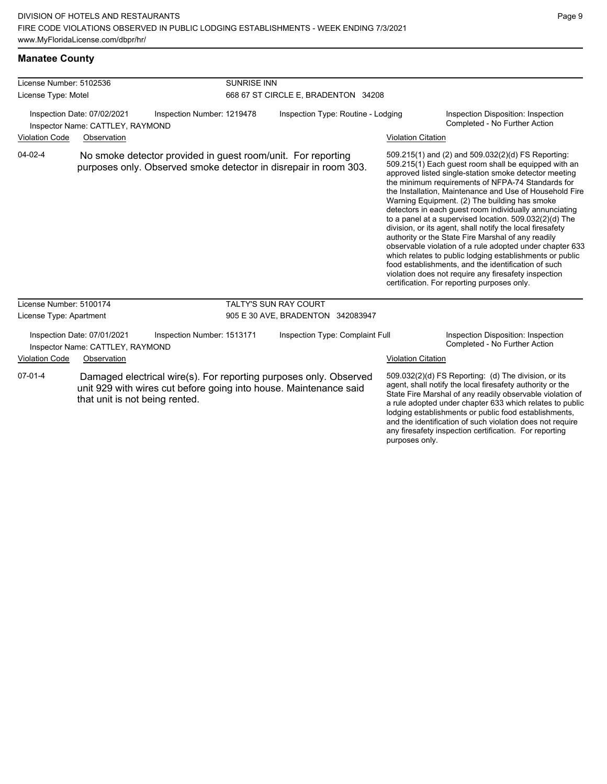# **Manatee County**

| License Number: 5102536                                         |                                                                 |                                                                                                                                        | <b>SUNRISE INN</b>                  |                           |                                                                                                                                                                                                                                                                                                                                                                                                                                                                                                                                                                                                                                                                                                                                                                                                                                                                   |  |  |
|-----------------------------------------------------------------|-----------------------------------------------------------------|----------------------------------------------------------------------------------------------------------------------------------------|-------------------------------------|---------------------------|-------------------------------------------------------------------------------------------------------------------------------------------------------------------------------------------------------------------------------------------------------------------------------------------------------------------------------------------------------------------------------------------------------------------------------------------------------------------------------------------------------------------------------------------------------------------------------------------------------------------------------------------------------------------------------------------------------------------------------------------------------------------------------------------------------------------------------------------------------------------|--|--|
| License Type: Motel                                             |                                                                 |                                                                                                                                        | 668 67 ST CIRCLE E, BRADENTON 34208 |                           |                                                                                                                                                                                                                                                                                                                                                                                                                                                                                                                                                                                                                                                                                                                                                                                                                                                                   |  |  |
| Inspection Date: 07/02/2021<br>Inspector Name: CATTLEY, RAYMOND |                                                                 | Inspection Number: 1219478                                                                                                             | Inspection Type: Routine - Lodging  |                           | Inspection Disposition: Inspection<br>Completed - No Further Action                                                                                                                                                                                                                                                                                                                                                                                                                                                                                                                                                                                                                                                                                                                                                                                               |  |  |
| <b>Violation Code</b>                                           | Observation                                                     |                                                                                                                                        |                                     |                           | <b>Violation Citation</b>                                                                                                                                                                                                                                                                                                                                                                                                                                                                                                                                                                                                                                                                                                                                                                                                                                         |  |  |
| $04 - 02 - 4$                                                   |                                                                 | No smoke detector provided in guest room/unit. For reporting<br>purposes only. Observed smoke detector in disrepair in room 303.       |                                     |                           | 509.215(1) and (2) and 509.032(2)(d) FS Reporting:<br>509.215(1) Each guest room shall be equipped with an<br>approved listed single-station smoke detector meeting<br>the minimum requirements of NFPA-74 Standards for<br>the Installation, Maintenance and Use of Household Fire<br>Warning Equipment. (2) The building has smoke<br>detectors in each guest room individually annunciating<br>to a panel at a supervised location. 509.032(2)(d) The<br>division, or its agent, shall notify the local firesafety<br>authority or the State Fire Marshal of any readily<br>observable violation of a rule adopted under chapter 633<br>which relates to public lodging establishments or public<br>food establishments, and the identification of such<br>violation does not require any firesafety inspection<br>certification. For reporting purposes only. |  |  |
| License Number: 5100174                                         |                                                                 |                                                                                                                                        | <b>TALTY'S SUN RAY COURT</b>        |                           |                                                                                                                                                                                                                                                                                                                                                                                                                                                                                                                                                                                                                                                                                                                                                                                                                                                                   |  |  |
| License Type: Apartment                                         |                                                                 |                                                                                                                                        | 905 E 30 AVE, BRADENTON 342083947   |                           |                                                                                                                                                                                                                                                                                                                                                                                                                                                                                                                                                                                                                                                                                                                                                                                                                                                                   |  |  |
|                                                                 | Inspection Date: 07/01/2021<br>Inspector Name: CATTLEY, RAYMOND | Inspection Number: 1513171                                                                                                             | Inspection Type: Complaint Full     |                           | Inspection Disposition: Inspection<br>Completed - No Further Action                                                                                                                                                                                                                                                                                                                                                                                                                                                                                                                                                                                                                                                                                                                                                                                               |  |  |
| <b>Violation Code</b>                                           | Observation                                                     |                                                                                                                                        |                                     | <b>Violation Citation</b> |                                                                                                                                                                                                                                                                                                                                                                                                                                                                                                                                                                                                                                                                                                                                                                                                                                                                   |  |  |
| $07 - 01 - 4$                                                   | that unit is not being rented.                                  | Damaged electrical wire(s). For reporting purposes only. Observed<br>unit 929 with wires cut before going into house. Maintenance said |                                     | purposes only.            | 509.032(2)(d) FS Reporting: (d) The division, or its<br>agent, shall notify the local firesafety authority or the<br>State Fire Marshal of any readily observable violation of<br>a rule adopted under chapter 633 which relates to public<br>lodging establishments or public food establishments,<br>and the identification of such violation does not require<br>any firesafety inspection certification. For reporting                                                                                                                                                                                                                                                                                                                                                                                                                                        |  |  |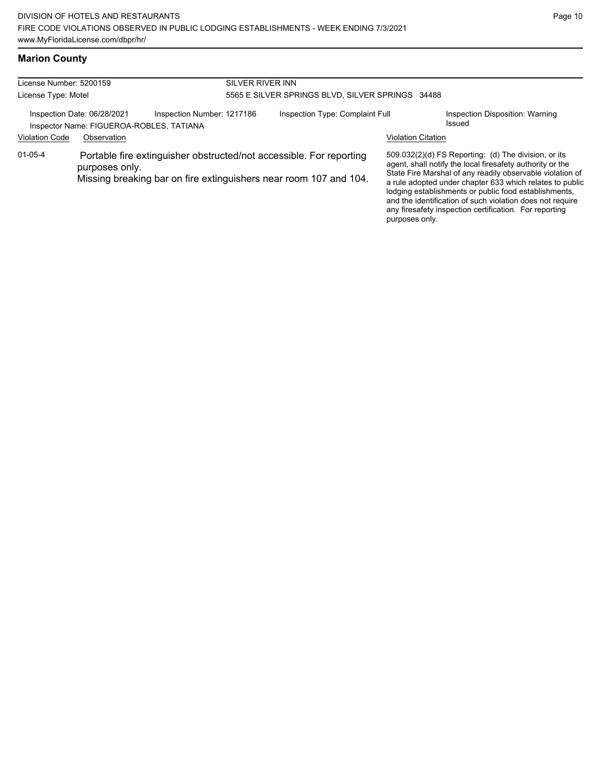# **Marion County**

| License Number: 5200159                                                                                                                                                     |             | SILVER RIVER INN           |                                                  |                           |                                                                                                                                                                                                                                                                                                                                                                                                                            |  |  |
|-----------------------------------------------------------------------------------------------------------------------------------------------------------------------------|-------------|----------------------------|--------------------------------------------------|---------------------------|----------------------------------------------------------------------------------------------------------------------------------------------------------------------------------------------------------------------------------------------------------------------------------------------------------------------------------------------------------------------------------------------------------------------------|--|--|
| License Type: Motel                                                                                                                                                         |             |                            | 5565 E SILVER SPRINGS BLVD, SILVER SPRINGS 34488 |                           |                                                                                                                                                                                                                                                                                                                                                                                                                            |  |  |
| Inspection Date: 06/28/2021<br>Inspector Name: FIGUEROA-ROBLES, TATIANA                                                                                                     |             | Inspection Number: 1217186 | Inspection Type: Complaint Full                  |                           | Inspection Disposition: Warning<br>Issued                                                                                                                                                                                                                                                                                                                                                                                  |  |  |
| <b>Violation Code</b>                                                                                                                                                       | Observation |                            |                                                  | <b>Violation Citation</b> |                                                                                                                                                                                                                                                                                                                                                                                                                            |  |  |
| $01 - 05 - 4$<br>Portable fire extinguisher obstructed/not accessible. For reporting<br>purposes only.<br>Missing breaking bar on fire extinguishers near room 107 and 104. |             |                            |                                                  | purposes only.            | 509.032(2)(d) FS Reporting: (d) The division, or its<br>agent, shall notify the local firesafety authority or the<br>State Fire Marshal of any readily observable violation of<br>a rule adopted under chapter 633 which relates to public<br>lodging establishments or public food establishments,<br>and the identification of such violation does not require<br>any firesafety inspection certification. For reporting |  |  |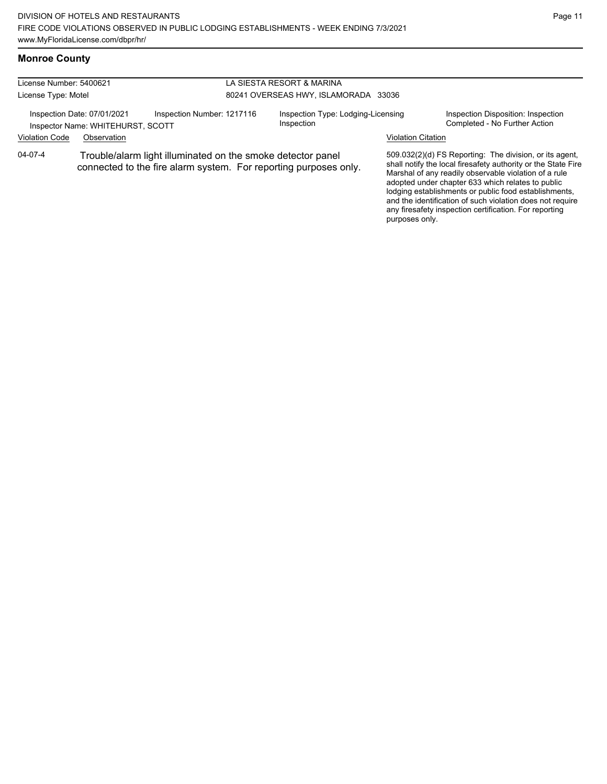# **Monroe County**

| License Number: 5400621 |                                                                                                                                 |                            | LA SIESTA RESORT & MARINA            |                                                  |                                                                                                                                                                                                                                                                                                                                                                                                                        |                                                                     |  |
|-------------------------|---------------------------------------------------------------------------------------------------------------------------------|----------------------------|--------------------------------------|--------------------------------------------------|------------------------------------------------------------------------------------------------------------------------------------------------------------------------------------------------------------------------------------------------------------------------------------------------------------------------------------------------------------------------------------------------------------------------|---------------------------------------------------------------------|--|
| License Type: Motel     |                                                                                                                                 |                            | 80241 OVERSEAS HWY, ISLAMORADA 33036 |                                                  |                                                                                                                                                                                                                                                                                                                                                                                                                        |                                                                     |  |
|                         | Inspection Date: 07/01/2021<br>Inspector Name: WHITEHURST, SCOTT                                                                | Inspection Number: 1217116 |                                      | Inspection Type: Lodging-Licensing<br>Inspection |                                                                                                                                                                                                                                                                                                                                                                                                                        | Inspection Disposition: Inspection<br>Completed - No Further Action |  |
| <b>Violation Code</b>   | Observation                                                                                                                     |                            |                                      |                                                  | <b>Violation Citation</b>                                                                                                                                                                                                                                                                                                                                                                                              |                                                                     |  |
| $04 - 07 - 4$           | Trouble/alarm light illuminated on the smoke detector panel<br>connected to the fire alarm system. For reporting purposes only. |                            |                                      |                                                  | 509.032(2)(d) FS Reporting: The division, or its agent,<br>shall notify the local firesafety authority or the State Fire<br>Marshal of any readily observable violation of a rule<br>adopted under chapter 633 which relates to public<br>lodging establishments or public food establishments,<br>and the identification of such violation does not require<br>any firesafety inspection certification. For reporting |                                                                     |  |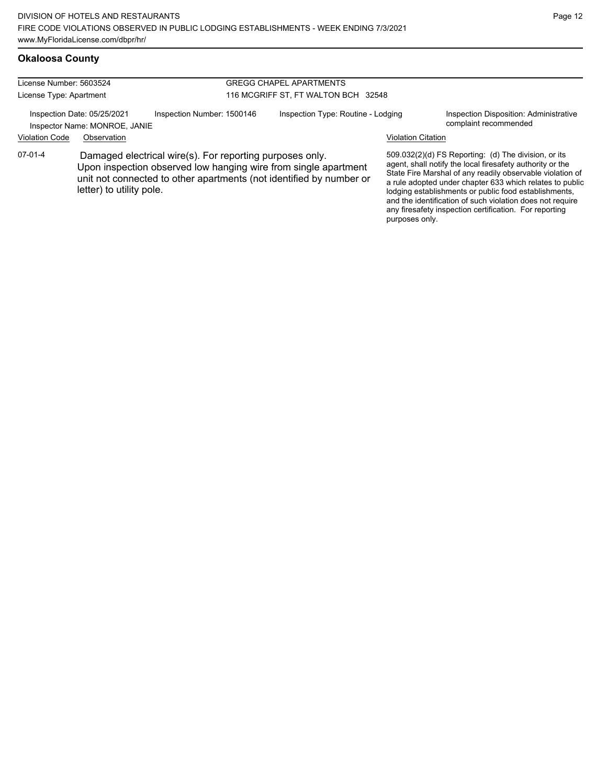# **Okaloosa County**

| License Number: 5603524                                      |                                                                                                                                                                                                                                |                            |                                     | <b>GREGG CHAPEL APARTMENTS</b>     |                           |                                                                                                                                                                                                                                                                                                                                                                                                                            |  |
|--------------------------------------------------------------|--------------------------------------------------------------------------------------------------------------------------------------------------------------------------------------------------------------------------------|----------------------------|-------------------------------------|------------------------------------|---------------------------|----------------------------------------------------------------------------------------------------------------------------------------------------------------------------------------------------------------------------------------------------------------------------------------------------------------------------------------------------------------------------------------------------------------------------|--|
| License Type: Apartment                                      |                                                                                                                                                                                                                                |                            | 116 MCGRIFF ST. FT WALTON BCH 32548 |                                    |                           |                                                                                                                                                                                                                                                                                                                                                                                                                            |  |
| Inspection Date: 05/25/2021<br>Inspector Name: MONROE, JANIE |                                                                                                                                                                                                                                | Inspection Number: 1500146 |                                     | Inspection Type: Routine - Lodging |                           | Inspection Disposition: Administrative<br>complaint recommended                                                                                                                                                                                                                                                                                                                                                            |  |
| <b>Violation Code</b>                                        | Observation                                                                                                                                                                                                                    |                            |                                     |                                    | <b>Violation Citation</b> |                                                                                                                                                                                                                                                                                                                                                                                                                            |  |
| 07-01-4                                                      | Damaged electrical wire(s). For reporting purposes only.<br>Upon inspection observed low hanging wire from single apartment<br>unit not connected to other apartments (not identified by number or<br>letter) to utility pole. |                            |                                     |                                    | purposes only.            | 509.032(2)(d) FS Reporting: (d) The division, or its<br>agent, shall notify the local firesafety authority or the<br>State Fire Marshal of any readily observable violation of<br>a rule adopted under chapter 633 which relates to public<br>lodging establishments or public food establishments,<br>and the identification of such violation does not require<br>any firesafety inspection certification. For reporting |  |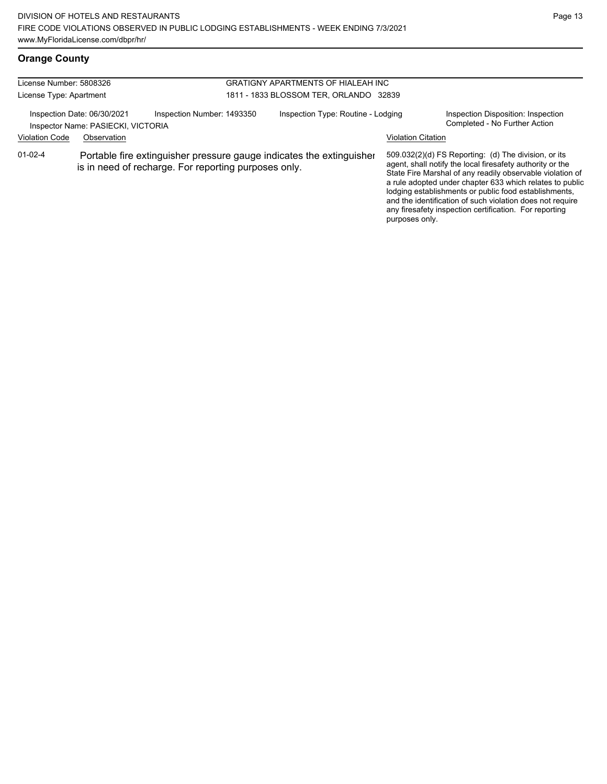# **Orange County**

| License Number: 5808326<br>License Type: Apartment                |             |                                                                                                                              | <b>GRATIGNY APARTMENTS OF HIALEAH INC</b><br>1811 - 1833 BLOSSOM TER, ORLANDO 32839 |                           |                                                                                                                                                                                                                                                                                                     |  |  |
|-------------------------------------------------------------------|-------------|------------------------------------------------------------------------------------------------------------------------------|-------------------------------------------------------------------------------------|---------------------------|-----------------------------------------------------------------------------------------------------------------------------------------------------------------------------------------------------------------------------------------------------------------------------------------------------|--|--|
| Inspection Date: 06/30/2021<br>Inspector Name: PASIECKI, VICTORIA |             | Inspection Number: 1493350                                                                                                   | Inspection Type: Routine - Lodging                                                  |                           | Inspection Disposition: Inspection<br>Completed - No Further Action                                                                                                                                                                                                                                 |  |  |
| <b>Violation Code</b><br>$01 - 02 - 4$                            | Observation | Portable fire extinguisher pressure gauge indicates the extinguisher<br>is in need of recharge. For reporting purposes only. |                                                                                     | <b>Violation Citation</b> | 509.032(2)(d) FS Reporting: (d) The division, or its<br>agent, shall notify the local firesafety authority or the<br>State Fire Marshal of any readily observable violation of<br>a rule adopted under chapter 633 which relates to public<br>lodging establishments or public food establishments, |  |  |
|                                                                   |             |                                                                                                                              |                                                                                     |                           | and the identification of such violation does not require<br>any firesafety inspection certification. For reporting                                                                                                                                                                                 |  |  |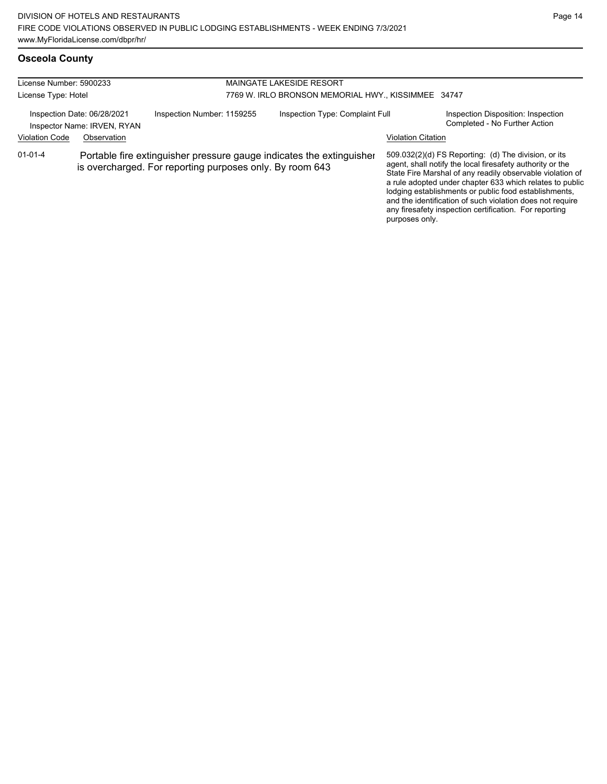| License Number: 5900233<br>License Type: Hotel             |             |                                                                                                                                  | <b>MAINGATE LAKESIDE RESORT</b><br>7769 W. IRLO BRONSON MEMORIAL HWY., KISSIMMEE 34747 |                           |                                                                                                                                                                                                                                                                                                                                                                                                                            |  |  |
|------------------------------------------------------------|-------------|----------------------------------------------------------------------------------------------------------------------------------|----------------------------------------------------------------------------------------|---------------------------|----------------------------------------------------------------------------------------------------------------------------------------------------------------------------------------------------------------------------------------------------------------------------------------------------------------------------------------------------------------------------------------------------------------------------|--|--|
| Inspection Date: 06/28/2021<br>Inspector Name: IRVEN, RYAN |             | Inspection Number: 1159255                                                                                                       | Inspection Type: Complaint Full                                                        |                           | Inspection Disposition: Inspection<br>Completed - No Further Action                                                                                                                                                                                                                                                                                                                                                        |  |  |
| <b>Violation Code</b>                                      | Observation |                                                                                                                                  |                                                                                        | <b>Violation Citation</b> |                                                                                                                                                                                                                                                                                                                                                                                                                            |  |  |
| $01 - 01 - 4$                                              |             | Portable fire extinguisher pressure gauge indicates the extinguisher<br>is overcharged. For reporting purposes only. By room 643 |                                                                                        | purposes only.            | 509.032(2)(d) FS Reporting: (d) The division, or its<br>agent, shall notify the local firesafety authority or the<br>State Fire Marshal of any readily observable violation of<br>a rule adopted under chapter 633 which relates to public<br>lodging establishments or public food establishments,<br>and the identification of such violation does not require<br>any firesafety inspection certification. For reporting |  |  |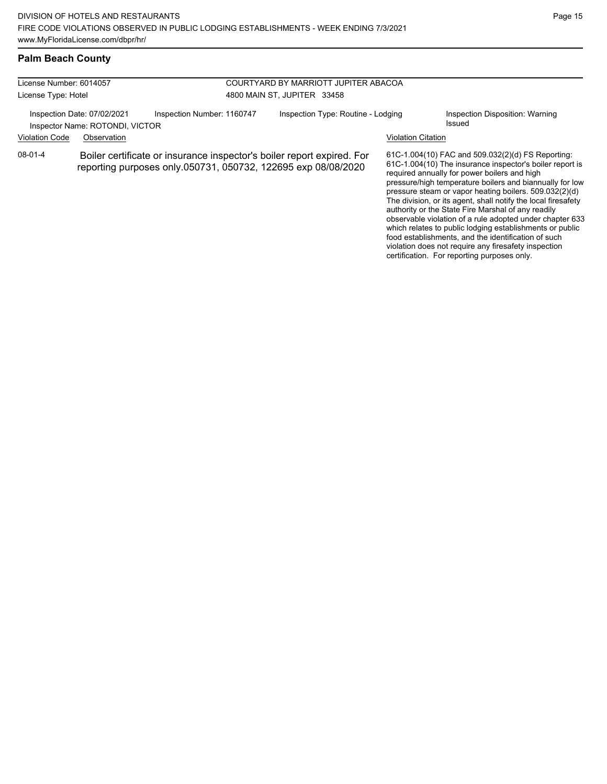food establishments, and the identification of such violation does not require any firesafety inspection certification. For reporting purposes only.

### **Palm Beach County**

| License Number: 6014057<br>License Type: Hotel<br>Inspection Date: 07/02/2021<br>Inspector Name: ROTONDI, VICTOR                                   |             |                            | COURTYARD BY MARRIOTT JUPITER ABACOA<br>4800 MAIN ST, JUPITER 33458 |                           |                                                                                                                                                                                                                                                                                                                                                                                                                                                                                                                                    |  |
|----------------------------------------------------------------------------------------------------------------------------------------------------|-------------|----------------------------|---------------------------------------------------------------------|---------------------------|------------------------------------------------------------------------------------------------------------------------------------------------------------------------------------------------------------------------------------------------------------------------------------------------------------------------------------------------------------------------------------------------------------------------------------------------------------------------------------------------------------------------------------|--|
|                                                                                                                                                    |             | Inspection Number: 1160747 | Inspection Type: Routine - Lodging                                  |                           | Inspection Disposition: Warning<br>Issued                                                                                                                                                                                                                                                                                                                                                                                                                                                                                          |  |
| <b>Violation Code</b>                                                                                                                              | Observation |                            |                                                                     | <b>Violation Citation</b> |                                                                                                                                                                                                                                                                                                                                                                                                                                                                                                                                    |  |
| 08-01-4<br>Boiler certificate or insurance inspector's boiler report expired. For<br>reporting purposes only.050731, 050732, 122695 exp 08/08/2020 |             |                            |                                                                     |                           | 61C-1.004(10) FAC and 509.032(2)(d) FS Reporting:<br>61C-1.004(10) The insurance inspector's boiler report is<br>required annually for power boilers and high<br>pressure/high temperature boilers and biannually for low<br>pressure steam or vapor heating boilers. 509.032(2)(d)<br>The division, or its agent, shall notify the local firesafety<br>authority or the State Fire Marshal of any readily<br>observable violation of a rule adopted under chapter 633<br>which relates to public lodging establishments or public |  |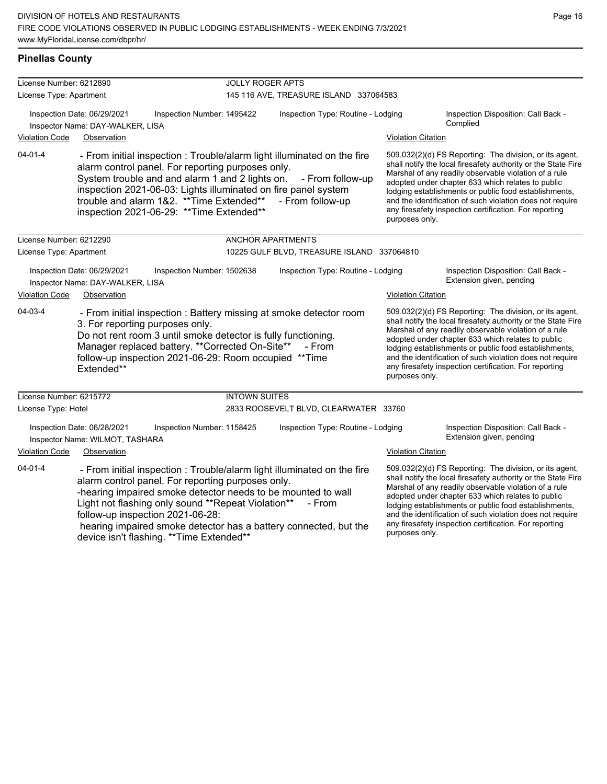# **Pinellas County**

| License Number: 6212890                                                                                                                                                                                                                                                   |                                                                 |                                                                                                                                                                                                                                                                                                                                             | <b>JOLLY ROGER APTS</b>                                                                                                                              |                                                                                                                                                                                                                                                                                                                                                                                                                                          |                                                                                                                                                                                                                                                                                                                                                                                                                                          |  |  |  |
|---------------------------------------------------------------------------------------------------------------------------------------------------------------------------------------------------------------------------------------------------------------------------|-----------------------------------------------------------------|---------------------------------------------------------------------------------------------------------------------------------------------------------------------------------------------------------------------------------------------------------------------------------------------------------------------------------------------|------------------------------------------------------------------------------------------------------------------------------------------------------|------------------------------------------------------------------------------------------------------------------------------------------------------------------------------------------------------------------------------------------------------------------------------------------------------------------------------------------------------------------------------------------------------------------------------------------|------------------------------------------------------------------------------------------------------------------------------------------------------------------------------------------------------------------------------------------------------------------------------------------------------------------------------------------------------------------------------------------------------------------------------------------|--|--|--|
| License Type: Apartment                                                                                                                                                                                                                                                   |                                                                 |                                                                                                                                                                                                                                                                                                                                             | 145 116 AVE, TREASURE ISLAND 337064583                                                                                                               |                                                                                                                                                                                                                                                                                                                                                                                                                                          |                                                                                                                                                                                                                                                                                                                                                                                                                                          |  |  |  |
|                                                                                                                                                                                                                                                                           | Inspection Date: 06/29/2021<br>Inspector Name: DAY-WALKER, LISA | Inspection Number: 1495422                                                                                                                                                                                                                                                                                                                  | Inspection Type: Routine - Lodging                                                                                                                   |                                                                                                                                                                                                                                                                                                                                                                                                                                          | Inspection Disposition: Call Back -<br>Complied                                                                                                                                                                                                                                                                                                                                                                                          |  |  |  |
| <b>Violation Code</b>                                                                                                                                                                                                                                                     | Observation                                                     |                                                                                                                                                                                                                                                                                                                                             |                                                                                                                                                      | <b>Violation Citation</b>                                                                                                                                                                                                                                                                                                                                                                                                                |                                                                                                                                                                                                                                                                                                                                                                                                                                          |  |  |  |
| $04 - 01 - 4$                                                                                                                                                                                                                                                             |                                                                 | - From initial inspection : Trouble/alarm light illuminated on the fire<br>alarm control panel. For reporting purposes only.<br>System trouble and and alarm 1 and 2 lights on.<br>inspection 2021-06-03: Lights illuminated on fire panel system<br>trouble and alarm 1&2. ** Time Extended**<br>inspection 2021-06-29: ** Time Extended** | - From follow-up<br>- From follow-up                                                                                                                 | purposes only.                                                                                                                                                                                                                                                                                                                                                                                                                           | 509.032(2)(d) FS Reporting: The division, or its agent,<br>shall notify the local firesafety authority or the State Fire<br>Marshal of any readily observable violation of a rule<br>adopted under chapter 633 which relates to public<br>lodging establishments or public food establishments,<br>and the identification of such violation does not require<br>any firesafety inspection certification. For reporting                   |  |  |  |
| License Number: 6212290                                                                                                                                                                                                                                                   |                                                                 |                                                                                                                                                                                                                                                                                                                                             | ANCHOR APARTMENTS                                                                                                                                    |                                                                                                                                                                                                                                                                                                                                                                                                                                          |                                                                                                                                                                                                                                                                                                                                                                                                                                          |  |  |  |
| License Type: Apartment                                                                                                                                                                                                                                                   |                                                                 |                                                                                                                                                                                                                                                                                                                                             | 10225 GULF BLVD, TREASURE ISLAND 337064810                                                                                                           |                                                                                                                                                                                                                                                                                                                                                                                                                                          |                                                                                                                                                                                                                                                                                                                                                                                                                                          |  |  |  |
|                                                                                                                                                                                                                                                                           | Inspection Date: 06/29/2021<br>Inspector Name: DAY-WALKER, LISA | Inspection Number: 1502638                                                                                                                                                                                                                                                                                                                  | Inspection Type: Routine - Lodging                                                                                                                   |                                                                                                                                                                                                                                                                                                                                                                                                                                          | Inspection Disposition: Call Back -<br>Extension given, pending                                                                                                                                                                                                                                                                                                                                                                          |  |  |  |
| <b>Violation Code</b><br>Observation                                                                                                                                                                                                                                      |                                                                 |                                                                                                                                                                                                                                                                                                                                             |                                                                                                                                                      | <b>Violation Citation</b>                                                                                                                                                                                                                                                                                                                                                                                                                |                                                                                                                                                                                                                                                                                                                                                                                                                                          |  |  |  |
| 04-03-4                                                                                                                                                                                                                                                                   | 3. For reporting purposes only.<br>Extended**                   | - From initial inspection : Battery missing at smoke detector room<br>Do not rent room 3 until smoke detector is fully functioning.<br>Manager replaced battery. ** Corrected On-Site**<br>follow-up inspection 2021-06-29: Room occupied **Time                                                                                            | - From                                                                                                                                               | 509.032(2)(d) FS Reporting: The division, or its agent,<br>shall notify the local firesafety authority or the State Fire<br>Marshal of any readily observable violation of a rule<br>adopted under chapter 633 which relates to public<br>lodging establishments or public food establishments,<br>and the identification of such violation does not require<br>any firesafety inspection certification. For reporting<br>purposes only. |                                                                                                                                                                                                                                                                                                                                                                                                                                          |  |  |  |
| License Number: 6215772                                                                                                                                                                                                                                                   |                                                                 | <b>INTOWN SUITES</b>                                                                                                                                                                                                                                                                                                                        |                                                                                                                                                      |                                                                                                                                                                                                                                                                                                                                                                                                                                          |                                                                                                                                                                                                                                                                                                                                                                                                                                          |  |  |  |
| License Type: Hotel                                                                                                                                                                                                                                                       |                                                                 |                                                                                                                                                                                                                                                                                                                                             | 2833 ROOSEVELT BLVD, CLEARWATER 33760                                                                                                                |                                                                                                                                                                                                                                                                                                                                                                                                                                          |                                                                                                                                                                                                                                                                                                                                                                                                                                          |  |  |  |
|                                                                                                                                                                                                                                                                           | Inspection Date: 06/28/2021<br>Inspector Name: WILMOT, TASHARA  | Inspection Number: 1158425                                                                                                                                                                                                                                                                                                                  | Inspection Type: Routine - Lodging                                                                                                                   |                                                                                                                                                                                                                                                                                                                                                                                                                                          | Inspection Disposition: Call Back -<br>Extension given, pending                                                                                                                                                                                                                                                                                                                                                                          |  |  |  |
| <b>Violation Code</b>                                                                                                                                                                                                                                                     | Observation                                                     |                                                                                                                                                                                                                                                                                                                                             |                                                                                                                                                      | <b>Violation Citation</b>                                                                                                                                                                                                                                                                                                                                                                                                                |                                                                                                                                                                                                                                                                                                                                                                                                                                          |  |  |  |
| $04 - 01 - 4$<br>alarm control panel. For reporting purposes only.<br>-hearing impaired smoke detector needs to be mounted to wall<br>Light not flashing only sound **Repeat Violation**<br>follow-up inspection 2021-06-28:<br>device isn't flashing. ** Time Extended** |                                                                 |                                                                                                                                                                                                                                                                                                                                             | - From initial inspection: Trouble/alarm light illuminated on the fire<br>- From<br>hearing impaired smoke detector has a battery connected, but the |                                                                                                                                                                                                                                                                                                                                                                                                                                          | 509.032(2)(d) FS Reporting: The division, or its agent,<br>shall notify the local firesafety authority or the State Fire<br>Marshal of any readily observable violation of a rule<br>adopted under chapter 633 which relates to public<br>lodging establishments or public food establishments,<br>and the identification of such violation does not require<br>any firesafety inspection certification. For reporting<br>purposes only. |  |  |  |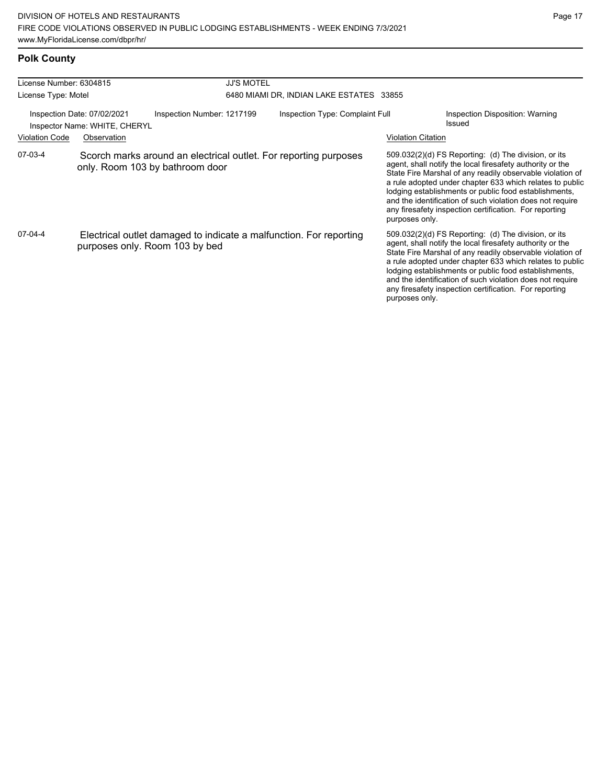# **Polk County**

| License Number: 6304815                                                                                                            |                                                                                                      |  | <b>JJ'S MOTEL</b>                        |  |                                 |                           |                                                                                                                                                                                                                                                                                                                                                                                                                              |
|------------------------------------------------------------------------------------------------------------------------------------|------------------------------------------------------------------------------------------------------|--|------------------------------------------|--|---------------------------------|---------------------------|------------------------------------------------------------------------------------------------------------------------------------------------------------------------------------------------------------------------------------------------------------------------------------------------------------------------------------------------------------------------------------------------------------------------------|
| License Type: Motel                                                                                                                |                                                                                                      |  | 6480 MIAMI DR, INDIAN LAKE ESTATES 33855 |  |                                 |                           |                                                                                                                                                                                                                                                                                                                                                                                                                              |
| Inspection Date: 07/02/2021<br>Inspection Number: 1217199<br>Inspector Name: WHITE, CHERYL<br><b>Violation Code</b><br>Observation |                                                                                                      |  |                                          |  | Inspection Type: Complaint Full | <b>Violation Citation</b> | Inspection Disposition: Warning<br>Issued                                                                                                                                                                                                                                                                                                                                                                                    |
| 07-03-4                                                                                                                            | Scorch marks around an electrical outlet. For reporting purposes<br>only. Room 103 by bathroom door  |  |                                          |  |                                 | purposes only.            | $509.032(2)(d)$ FS Reporting: (d) The division, or its<br>agent, shall notify the local firesafety authority or the<br>State Fire Marshal of any readily observable violation of<br>a rule adopted under chapter 633 which relates to public<br>lodging establishments or public food establishments,<br>and the identification of such violation does not require<br>any firesafety inspection certification. For reporting |
| 07-04-4                                                                                                                            | Electrical outlet damaged to indicate a malfunction. For reporting<br>purposes only. Room 103 by bed |  |                                          |  |                                 | purposes only.            | $509.032(2)(d)$ FS Reporting: (d) The division, or its<br>agent, shall notify the local firesafety authority or the<br>State Fire Marshal of any readily observable violation of<br>a rule adopted under chapter 633 which relates to public<br>lodging establishments or public food establishments,<br>and the identification of such violation does not require<br>any firesafety inspection certification. For reporting |